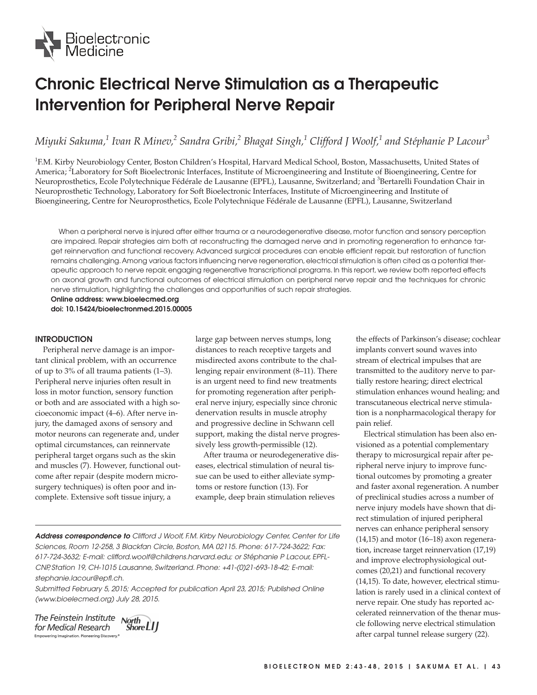

# **Chronic Electrical Nerve Stimulation as a Therapeutic Intervention for Peripheral Nerve Repair**

*Miyuki Sakuma,<sup>1</sup> Ivan R Minev,<sup>2</sup> Sandra Gribi,2 Bhagat Singh,<sup>1</sup> Clifford J Woolf,1 and Stéphanie P Lacour3*

<sup>1</sup>F.M. Kirby Neurobiology Center, Boston Children's Hospital, Harvard Medical School, Boston, Massachusetts, United States of America; <sup>2</sup>Laboratory for Soft Bioelectronic Interfaces, Institute of Microengineering and Institute of Bioengineering, Centre for Neuroprosthetics, Ecole Polytechnique Fédérale de Lausanne (EPFL), Lausanne, Switzerland; and <sup>3</sup>Bertarelli Foundation Chair in Neuroprosthetic Technology, Laboratory for Soft Bioelectronic Interfaces, Institute of Microengineering and Institute of Bioengineering, Centre for Neuroprosthetics, Ecole Polytechnique Fédérale de Lausanne (EPFL), Lausanne, Switzerland

When a peripheral nerve is injured after either trauma or a neurodegenerative disease, motor function and sensory perception are impaired. Repair strategies aim both at reconstructing the damaged nerve and in promoting regeneration to enhance target reinnervation and functional recovery. Advanced surgical procedures can enable efficient repair, but restoration of function remains challenging. Among various factors influencing nerve regeneration, electrical stimulation is often cited as a potential therapeutic approach to nerve repair, engaging regenerative transcriptional programs. In this report, we review both reported effects on axonal growth and functional outcomes of electrical stimulation on peripheral nerve repair and the techniques for chronic nerve stimulation, highlighting the challenges and opportunities of such repair strategies.

**Online address: www.bioelecmed.org doi: 10.15424/bioelectronmed.2015.00005**

## **INTRODUCTION**

Peripheral nerve damage is an important clinical problem, with an occurrence of up to 3% of all trauma patients (1–3). Peripheral nerve injuries often result in loss in motor function, sensory function or both and are associated with a high socioeconomic impact (4–6). After nerve injury, the damaged axons of sensory and motor neurons can regenerate and, under optimal circumstances, can reinnervate peripheral target organs such as the skin and muscles (7). However, functional outcome after repair (despite modern microsurgery techniques) is often poor and incomplete. Extensive soft tissue injury, a

large gap between nerves stumps, long distances to reach receptive targets and misdirected axons contribute to the challenging repair environment (8–11). There is an urgent need to find new treatments for promoting regeneration after peripheral nerve injury, especially since chronic denervation results in muscle atrophy and progressive decline in Schwann cell support, making the distal nerve progressively less growth-permissible (12).

After trauma or neurodegenerative diseases, electrical stimulation of neural tissue can be used to either alleviate symptoms or restore function (13). For example, deep brain stimulation relieves

Address correspondence to Clifford J Woolf, F.M. Kirby Neurobiology Center, Center for Life Sciences, Room 12-258, 3 Blackfan Circle, Boston, MA 02115. Phone: 617-724-3622; Fax: 617-724-3632; E-mail: clifford.woolf@childrens.harvard.edu; or Stéphanie P Lacour, EPFL-CNP, Station 19, CH-1015 Lausanne, Switzerland. Phone: +41-(0)21-693-18-42; E-mail: stephanie.lacour@epfl.ch.

Submitted February 5, 2015; Accepted for publication April 23, 2015; Published Online (www.bioelecmed.org) July 28, 2015.

The Feinstein Institute North for Medical Research Empowering Imagination. Pioneering Discovery.<sup>4</sup>



the effects of Parkinson's disease; cochlear implants convert sound waves into stream of electrical impulses that are transmitted to the auditory nerve to partially restore hearing; direct electrical stimulation enhances wound healing; and transcutaneous electrical nerve stimulation is a nonpharmacological therapy for pain relief.

Electrical stimulation has been also envisioned as a potential complementary therapy to microsurgical repair after peripheral nerve injury to improve functional outcomes by promoting a greater and faster axonal regeneration. A number of preclinical studies across a number of nerve injury models have shown that direct stimulation of injured peripheral nerves can enhance peripheral sensory (14,15) and motor (16–18) axon regeneration, increase target reinnervation (17,19) and improve electrophysiological outcomes (20,21) and functional recovery (14,15). To date, however, electrical stimulation is rarely used in a clinical context of nerve repair. One study has reported accelerated reinnervation of the thenar muscle following nerve electrical stimulation after carpal tunnel release surgery (22).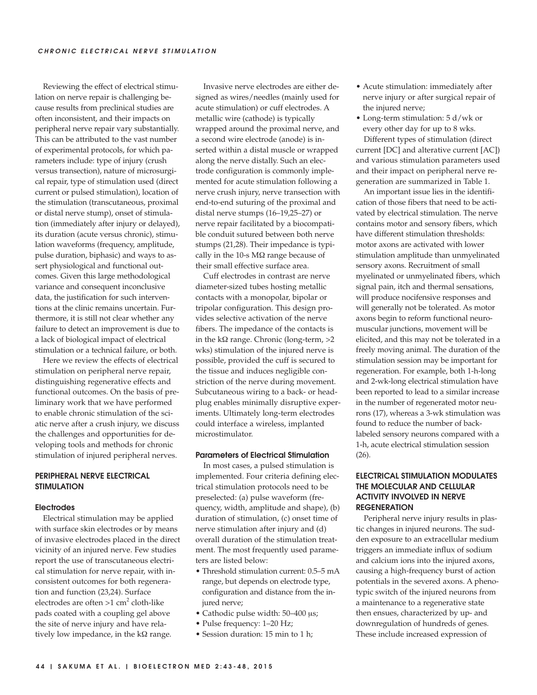Reviewing the effect of electrical stimulation on nerve repair is challenging because results from preclinical studies are often inconsistent, and their impacts on peripheral nerve repair vary substantially. This can be attributed to the vast number of experimental protocols, for which parameters include: type of injury (crush versus transection), nature of microsurgical repair, type of stimulation used (direct current or pulsed stimulation), location of the stimulation (transcutaneous, proximal or distal nerve stump), onset of stimulation (immediately after injury or delayed), its duration (acute versus chronic), stimulation waveforms (frequency, amplitude, pulse duration, biphasic) and ways to assert physiological and functional outcomes. Given this large methodological variance and consequent inconclusive data, the justification for such interventions at the clinic remains uncertain. Furthermore, it is still not clear whether any failure to detect an improvement is due to a lack of biological impact of electrical stimulation or a technical failure, or both.

Here we review the effects of electrical stimulation on peripheral nerve repair, distinguishing regenerative effects and functional outcomes. On the basis of preliminary work that we have performed to enable chronic stimulation of the sciatic nerve after a crush injury, we discuss the challenges and opportunities for developing tools and methods for chronic stimulation of injured peripheral nerves.

## **PERIPHERAL NERVE ELECTRICAL STIMULATION**

## **Electrodes**

Electrical stimulation may be applied with surface skin electrodes or by means of invasive electrodes placed in the direct vicinity of an injured nerve. Few studies report the use of transcutaneous electrical stimulation for nerve repair, with inconsistent outcomes for both regeneration and function (23,24). Surface electrodes are often  $>1$  cm<sup>2</sup> cloth-like pads coated with a coupling gel above the site of nerve injury and have relatively low impedance, in the  $k\Omega$  range.

Invasive nerve electrodes are either designed as wires/needles (mainly used for acute stimulation) or cuff electrodes. A metallic wire (cathode) is typically wrapped around the proximal nerve, and a second wire electrode (anode) is inserted within a distal muscle or wrapped along the nerve distally. Such an electrode configuration is commonly implemented for acute stimulation following a nerve crush injury, nerve transection with end-to-end suturing of the proximal and distal nerve stumps (16–19,25–27) or nerve repair facilitated by a biocompatible conduit sutured between both nerve stumps (21,28). Their impedance is typically in the 10-s MΩ range because of their small effective surface area.

Cuff electrodes in contrast are nerve diameter-sized tubes hosting metallic contacts with a monopolar, bipolar or tripolar configuration. This design provides selective activation of the nerve fibers. The impedance of the contacts is in the kΩ range. Chronic (long-term,  $>$ 2 wks) stimulation of the injured nerve is possible, provided the cuff is secured to the tissue and induces negligible constriction of the nerve during movement. Subcutaneous wiring to a back- or headplug enables minimally disruptive experiments. Ultimately long-term electrodes could interface a wireless, implanted microstimulator.

## **Parameters of Electrical Stimulation**

In most cases, a pulsed stimulation is implemented. Four criteria defining electrical stimulation protocols need to be preselected: (a) pulse waveform (frequency, width, amplitude and shape), (b) duration of stimulation, (c) onset time of nerve stimulation after injury and (d) overall duration of the stimulation treatment. The most frequently used parameters are listed below:

- Threshold stimulation current: 0.5–5 mA range, but depends on electrode type, configuration and distance from the injured nerve;
- Cathodic pulse width: 50-400 μs;
- Pulse frequency: 1–20 Hz;
- Session duration: 15 min to 1 h;
- Acute stimulation: immediately after nerve injury or after surgical repair of the injured nerve;
- Long-term stimulation: 5 d/wk or every other day for up to 8 wks.

Different types of stimulation (direct current [DC] and alterative current [AC]) and various stimulation parameters used and their impact on peripheral nerve regeneration are summarized in Table 1.

An important issue lies in the identification of those fibers that need to be activated by electrical stimulation. The nerve contains motor and sensory fibers, which have different stimulation thresholds: motor axons are activated with lower stimulation amplitude than unmyelinated sensory axons. Recruitment of small myelinated or unmyelinated fibers, which signal pain, itch and thermal sensations, will produce nocifensive responses and will generally not be tolerated. As motor axons begin to reform functional neuromuscular junctions, movement will be elicited, and this may not be tolerated in a freely moving animal. The duration of the stimulation session may be important for regeneration. For example, both 1-h-long and 2-wk-long electrical stimulation have been reported to lead to a similar increase in the number of regenerated motor neurons (17), whereas a 3-wk stimulation was found to reduce the number of back labeled sensory neurons compared with a 1-h, acute electrical stimulation session (26).

# **ELECTRICAL STIMULATION MODULATES THE MOLECULAR AND CELLULAR ACTIVITY INVOLVED IN NERVE REGENERATION**

Peripheral nerve injury results in plastic changes in injured neurons. The sudden exposure to an extracellular medium triggers an immediate influx of sodium and calcium ions into the injured axons, causing a high-frequency burst of action potentials in the severed axons. A phenotypic switch of the injured neurons from a maintenance to a regenerative state then ensues, characterized by up- and downregulation of hundreds of genes. These include increased expression of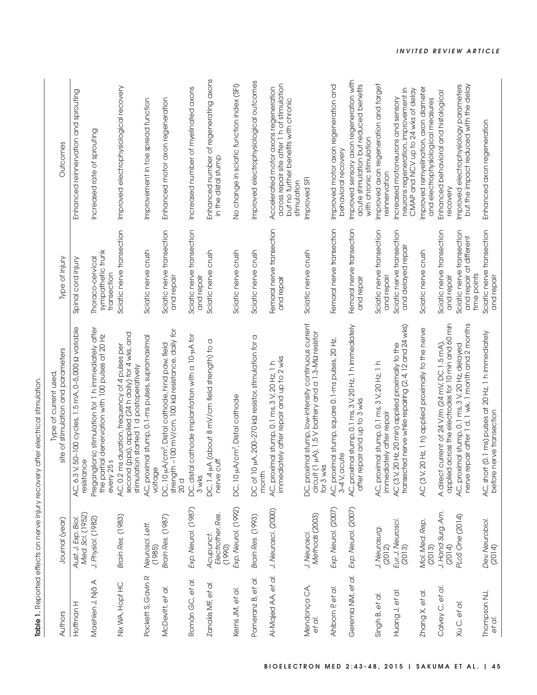| Outcomes                                                    | Enhanced reinnervation and sprouting                                      | Increased rate of sprouting                                                                                           | Improved electrophysiological recovery                                                                                                         | Improvement in toe spread function                         | Enhanced motor axon regeneration                                                                                         | Increased number of myelinated axons                        | Enhanced number of regenerating axons<br>in the distal stump          | No change in sciatic function index (SFI)  | Improved electrophysiological outcomes                       | across repair site after 1 h of stimulation<br>Accelerated motor axons regeneration<br>but no further benefits with chronic<br>stimulation | mproved SFI                                                                                                               | Improved motor axon regeneration and<br>behavioral recovery    | Improved sensory axon regeneration with<br>acute stimulation but reduced benefits<br>with chronic stimulation | Improved axon regeneration and target<br>reinnervation                  | neurons regeneration, improvement in<br>CMAP and NCV up to 24 wks of delay<br>Increased motoneurons and sensory | mproved remyelination, axon diameter<br>and electrophysiological measures | Enhanced behavioral and histological<br>recovery                                                     | but the impact reduced with the delay<br>Improved electrophysiology parameters                        | Enhanced axon regeneration                                                      |
|-------------------------------------------------------------|---------------------------------------------------------------------------|-----------------------------------------------------------------------------------------------------------------------|------------------------------------------------------------------------------------------------------------------------------------------------|------------------------------------------------------------|--------------------------------------------------------------------------------------------------------------------------|-------------------------------------------------------------|-----------------------------------------------------------------------|--------------------------------------------|--------------------------------------------------------------|--------------------------------------------------------------------------------------------------------------------------------------------|---------------------------------------------------------------------------------------------------------------------------|----------------------------------------------------------------|---------------------------------------------------------------------------------------------------------------|-------------------------------------------------------------------------|-----------------------------------------------------------------------------------------------------------------|---------------------------------------------------------------------------|------------------------------------------------------------------------------------------------------|-------------------------------------------------------------------------------------------------------|---------------------------------------------------------------------------------|
| Type of injury                                              | Spinal cord injury                                                        | sympathetic trunk<br>Thoraco-cervical<br>transection                                                                  | Sciatic nerve transection                                                                                                                      | Sciatic nerve crush                                        | Sciatic nerve transection<br>and repair                                                                                  | Sciatic nerve transection<br>and repair                     | Sciatic nerve crush                                                   | Sciatic nerve crush                        | Sciatic nerve crush                                          | Femoral nerve transection<br>and repair                                                                                                    | Sciatic nerve crush                                                                                                       | Femoral nerve transection                                      | Femoral nerve transection<br>and repair                                                                       | Sciatic nerve transection<br>and repair                                 | Sciatic nerve transection<br>and delayed repair                                                                 | Sciatic nerve crush                                                       | Sciatic nerve transection<br>and repair                                                              | Sciatic nerve transection<br>and repair at different<br>time points                                   | Sciatic nerve transection<br>and repair                                         |
| site of stimulation and parameters<br>Type of current used, | AC, 6.3 V, 50-100 cycles, 1.5 mA, 0-5,000 $\Omega$ variable<br>resistance | Preganglionic stimulation for 1 h immediately after<br>the partial denervation with 100 pulses at 20 Hz<br>every 25 s | second (pps), applied (24 h daily) for 4 wks, and<br>AC, 0.2 ms duration, frequency of 4 pulses per<br>stimulation started 1 d postoperatively | AC, proximal stump, 0.1-ms pulses, supramaximal<br>voltage | strength ~100 mV/cm, 100 kg resistance, daily for<br>DC, 10 µA/cm <sup>2</sup> , Distal cathode, hind paw, field<br>20 d | DC, distal cathode implantation with a 10-µA for<br>$3$ wks | $\circ$<br>DC, 1.4 µA (about 8 mV/cm field strength) to<br>nerve cuff | DC, 10 µA/cm <sup>2</sup> , Distal cathode | DC of 10 µA, 200-270 kΩ resistor, stimulation for a<br>month | immediately after repair and up to 2 wks<br>AC, proximal stump, 0.1 ms, 3 V, 20 Hz, 1 h                                                    | DC, proximal stump, low-intensity continuous current<br>circuit (1 µA), 1.5 V battery and a 1.3-Ms2 resistor<br>for 3 wks | AC, proximal stump, square 0.1-ms pulses, 20 Hz,<br>3-4V acute | AC, proximal stump, 0.1 ms, 3 V, 20 Hz, 1 h immediately<br>after repair and up to 3 wks                       | AC, proximal stump, 0.1 ms, 3 V, 20 Hz, 1 h<br>immediately after repair | transected nerve while repairing (2, 4, 12 and 24 wks)<br>AC (3 V, 20 Hz, 20 min) applied proximally to the     | 20 Hz, 1 h) applied proximally to the nerve<br>AC (3 V,                   | applied across the electrodes for 10 min and 60 min<br>A direct current of 24 V/m (24 mV, DC 1.5 mA) | AC, proximal stump, 0.1 ms, 3 V, 20 Hz, delayed<br>nerve repair after 1 d, 1 wk, 1 month and 2 months | AC, short (0.1 ms) pulses at 20 Hz, 1 h immediately<br>before nerve transection |
| Journal (year)                                              | Med. Sci. (1952)<br>Aust. J. Exp. Biol.                                   | J. Physiol. (1982)                                                                                                    | Brain Res. (1983)                                                                                                                              | Neurosci. Lett.<br>(1985)                                  | Brain Res. (1987)                                                                                                        | Exp. Neurol. (1987)                                         | Electrother. Res<br>Acupunct.<br>(1990)                               | Exp. Neurol. (1992)                        | Brain Res. (1993)                                            | J. Neurosci. (2000)                                                                                                                        | Methods (2003)<br>J. Neurosci.                                                                                            | Exp. Neurol. (2007)                                            | Exp. Neurol. (2007)                                                                                           | J. Neurosurg.<br>(2012)                                                 | Eur. J. Neurosci.<br>(2013)                                                                                     | Mol. Med. Rep.<br>(2013)                                                  | J. Hand Surg. Am.<br>(2014)                                                                          | PLoS One (2014)                                                                                       | Dev. Neurobiol.<br>(2014)                                                       |
| Authors                                                     | Hoffman H                                                                 | Maehlen J, Njå A                                                                                                      | Nix WA, Hopf HC                                                                                                                                | Pockett S, Gavin R                                         | McDevitt, et al.                                                                                                         | Román GC, et al.                                            | Zanakis MF, et al.                                                    | Kerns JM, et al.                           | Pomeranz B, et al.                                           | Al-Majed AA, et al.                                                                                                                        | Mendonça CA,<br>et al.                                                                                                    | Ahlborn Pet al.                                                | Geremia NM, et al.                                                                                            | Singh B, et al.                                                         | Huang J, et al.                                                                                                 | Zhang X, et al.                                                           | Calvey C, et al.                                                                                     | Xu C, et al.                                                                                          | Thompson NJ,<br>et al.                                                          |

**Table 1.** Reported effects on nerve injury recovery after electrical stimulation.

Table 1. Reported effects on nerve injury recovery after electrical stimulation.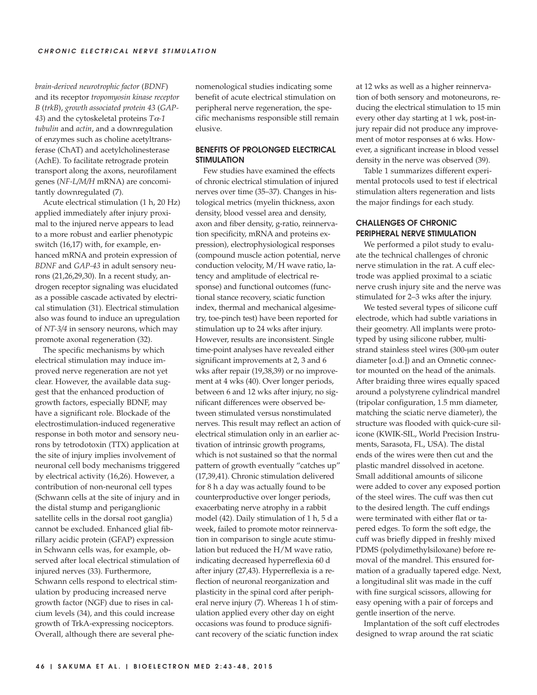*brain-derived neurotrophic factor* (*BDNF*) and its receptor *tropomyosin kinase receptor B* (*trkB*), *growth associated protein 43* (*GAP-43*) and the cytoskeletal proteins *T*α*-1 tubulin* and *actin*, and a downregulation of enzymes such as choline acetyltransferase (ChAT) and acetylcholinesterase (AchE). To facilitate retrograde protein transport along the axons, neurofilament genes (*NF-L/M/H* mRNA) are concomitantly downregulated (7).

Acute electrical stimulation (1 h, 20 Hz) applied immediately after injury proximal to the injured nerve appears to lead to a more robust and earlier phenotypic switch (16,17) with, for example, enhanced mRNA and protein expression of *BDNF* and *GAP-43* in adult sensory neurons (21,26,29,30). In a recent study, androgen receptor signaling was elucidated as a possible cascade activated by electrical stimulation (31). Electrical stimulation also was found to induce an upregulation of *NT-3/4* in sensory neurons, which may promote axonal regeneration (32).

The specific mechanisms by which electrical stimulation may induce improved nerve regeneration are not yet clear. However, the available data suggest that the enhanced production of growth factors, especially BDNF, may have a significant role. Blockade of the electrostimulation-induced regenerative response in both motor and sensory neurons by tetrodotoxin (TTX) application at the site of injury implies involvement of neuronal cell body mechanisms triggered by electrical activity (16,26). However, a contribution of non-neuronal cell types (Schwann cells at the site of injury and in the distal stump and periganglionic satellite cells in the dorsal root ganglia) cannot be excluded. Enhanced glial fibrillary acidic protein (GFAP) expression in Schwann cells was, for example, observed after local electrical stimulation of injured nerves (33). Furthermore, Schwann cells respond to electrical stimulation by producing increased nerve growth factor (NGF) due to rises in calcium levels (34), and this could increase growth of TrkA-expressing nociceptors. Overall, although there are several phenomenological studies indicating some benefit of acute electrical stimulation on peripheral nerve regeneration, the specific mechanisms responsible still remain elusive.

# **BENEFITS OF PROLONGED ELECTRICAL STIMULATION**

Few studies have examined the effects of chronic electrical stimulation of injured nerves over time (35–37). Changes in histological metrics (myelin thickness, axon density, blood vessel area and density, axon and fiber density, g-ratio, reinnervation specificity, mRNA and proteins expression), electrophysiological responses (compound muscle action potential, nerve conduction velocity, M/H wave ratio, latency and amplitude of electrical response) and functional outcomes (functional stance recovery, sciatic function index, thermal and mechanical algesimetry, toe-pinch test) have been reported for stimulation up to 24 wks after injury. However, results are inconsistent. Single time-point analyses have revealed either significant improvements at 2, 3 and 6 wks after repair (19,38,39) or no improvement at 4 wks (40). Over longer periods, between 6 and 12 wks after injury, no significant differences were observed between stimulated versus nonstimulated nerves. This result may reflect an action of electrical stimulation only in an earlier activation of intrinsic growth programs, which is not sustained so that the normal pattern of growth eventually "catches up" (17,39,41). Chronic stimulation delivered for 8 h a day was actually found to be counterproductive over longer periods, exacerbating nerve atrophy in a rabbit model (42). Daily stimulation of 1 h, 5 d a week, failed to promote motor reinnervation in comparison to single acute stimulation but reduced the H/M wave ratio, indicating decreased hyperreflexia 60 d after injury (27,43). Hyperreflexia is a reflection of neuronal reorganization and plasticity in the spinal cord after peripheral nerve injury (7). Whereas 1 h of stimulation applied every other day on eight occasions was found to produce significant recovery of the sciatic function index

at 12 wks as well as a higher reinnervation of both sensory and motoneurons, reducing the electrical stimulation to 15 min every other day starting at 1 wk, post-injury repair did not produce any improvement of motor responses at 6 wks. However, a significant increase in blood vessel density in the nerve was observed (39).

Table 1 summarizes different experimental protocols used to test if electrical stimulation alters regeneration and lists the major findings for each study.

# **CHALLENGES OF CHRONIC PERIPHERAL NERVE STIMULATION**

We performed a pilot study to evaluate the technical challenges of chronic nerve stimulation in the rat. A cuff electrode was applied proximal to a sciatic nerve crush injury site and the nerve was stimulated for 2–3 wks after the injury.

We tested several types of silicone cuff electrode, which had subtle variations in their geometry. All implants were prototyped by using silicone rubber, multistrand stainless steel wires (300-μm outer diameter [o.d.]) and an Omnetic connector mounted on the head of the animals. After braiding three wires equally spaced around a polystyrene cylindrical mandrel (tripolar configuration, 1.5 mm diameter, matching the sciatic nerve diameter), the structure was flooded with quick-cure silicone (KWIK-SIL, World Precision Instruments, Sarasota, FL, USA). The distal ends of the wires were then cut and the plastic mandrel dissolved in acetone. Small additional amounts of silicone were added to cover any exposed portion of the steel wires. The cuff was then cut to the desired length. The cuff endings were terminated with either flat or tapered edges. To form the soft edge, the cuff was briefly dipped in freshly mixed PDMS (polydimethylsiloxane) before removal of the mandrel. This ensured formation of a gradually tapered edge. Next, a longitudinal slit was made in the cuff with fine surgical scissors, allowing for easy opening with a pair of forceps and gentle insertion of the nerve.

Implantation of the soft cuff electrodes designed to wrap around the rat sciatic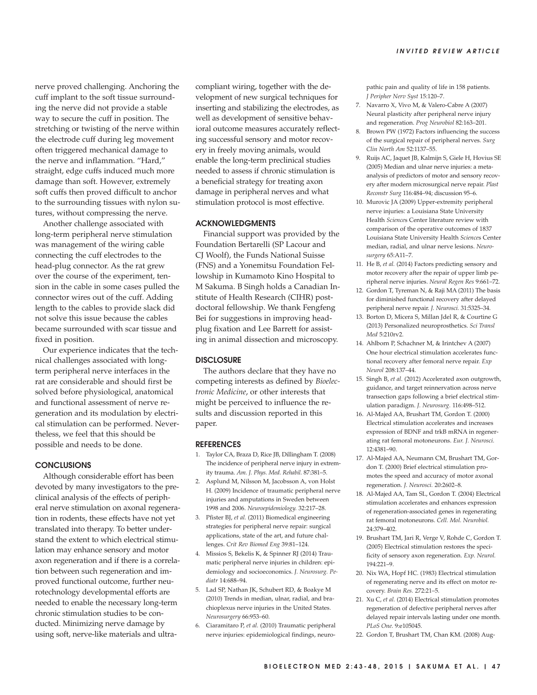nerve proved challenging. Anchoring the cuff implant to the soft tissue surrounding the nerve did not provide a stable way to secure the cuff in position. The stretching or twisting of the nerve within the electrode cuff during leg movement often triggered mechanical damage to the nerve and inflammation. "Hard," straight, edge cuffs induced much more damage than soft. However, extremely soft cuffs then proved difficult to anchor to the surrounding tissues with nylon sutures, without compressing the nerve.

Another challenge associated with long-term peripheral nerve stimulation was management of the wiring cable connecting the cuff electrodes to the head-plug connector. As the rat grew over the course of the experiment, tension in the cable in some cases pulled the connector wires out of the cuff. Adding length to the cables to provide slack did not solve this issue because the cables became surrounded with scar tissue and fixed in position.

Our experience indicates that the technical challenges associated with longterm peripheral nerve interfaces in the rat are considerable and should first be solved before physiological, anatomical and functional assessment of nerve regeneration and its modulation by electrical stimulation can be performed. Nevertheless, we feel that this should be possible and needs to be done.

### **CONCLUSIONS**

Although considerable effort has been devoted by many investigators to the preclinical analysis of the effects of peripheral nerve stimulation on axonal regeneration in rodents, these effects have not yet translated into therapy. To better understand the extent to which electrical stimulation may enhance sensory and motor axon regeneration and if there is a correlation between such regeneration and improved functional outcome, further neurotechnology developmental efforts are needed to enable the necessary long-term chronic stimulation studies to be conducted. Minimizing nerve damage by using soft, nerve-like materials and ultracompliant wiring, together with the development of new surgical techniques for inserting and stabilizing the electrodes, as well as development of sensitive behavioral outcome measures accurately reflecting successful sensory and motor recovery in freely moving animals, would enable the long-term preclinical studies needed to assess if chronic stimulation is a beneficial strategy for treating axon damage in peripheral nerves and what stimulation protocol is most effective.

#### **ACKNOWLEDGMENTS**

Financial support was provided by the Foundation Bertarelli (SP Lacour and CJ Woolf), the Funds National Suisse (FNS) and a Yonemitsu Foundation Fellowship in Kumamoto Kino Hospital to M Sakuma. B Singh holds a Canadian Institute of Health Research (CIHR) postdoctoral fellowship. We thank Fengfeng Bei for suggestions in improving headplug fixation and Lee Barrett for assisting in animal dissection and microscopy.

### **DISCLOSURE**

The authors declare that they have no competing interests as defined by *Bioelectronic Medicine*, or other interests that might be perceived to influence the results and discussion reported in this paper.

#### **REFERENCES**

- 1. Taylor CA, Braza D, Rice JB, Dillingham T. (2008) The incidence of peripheral nerve injury in extremity trauma. *Am. J. Phys. Med. Rehabil.* 87:381–5.
- 2. Asplund M, Nilsson M, Jacobsson A, von Holst H. (2009) Incidence of traumatic peripheral nerve injuries and amputations in Sweden between 1998 and 2006. *Neuroepidemiology.* 32:217–28.
- 3. Pfister BJ, *et al.* (2011) Biomedical engineering strategies for peripheral nerve repair: surgical applications, state of the art, and future challenges. *Crit Rev Biomed Eng* 39:81–124.
- 4. Missios S, Bekelis K, & Spinner RJ (2014) Traumatic peripheral nerve injuries in children: epidemiology and socioeconomics. *J. Neurosurg. Pediatr* 14:688–94.
- 5. Lad SP, Nathan JK, Schubert RD, & Boakye M (2010) Trends in median, ulnar, radial, and brachioplexus nerve injuries in the United States. *Neurosurgery* 66:953–60.
- 6. Ciaramitaro P, *et al.* (2010) Traumatic peripheral nerve injuries: epidemiological findings, neuro-

pathic pain and quality of life in 158 patients. *J Peripher Nerv Syst* 15:120–7.

- 7. Navarro X, Vivo M, & Valero-Cabre A (2007) Neural plasticity after peripheral nerve injury and regeneration. *Prog Neurobiol* 82:163–201.
- 8. Brown PW (1972) Factors influencing the success of the surgical repair of peripheral nerves. *Surg Clin North Am* 52:1137–55.
- 9. Ruijs AC, Jaquet JB, Kalmijn S, Giele H, Hovius SE (2005) Median and ulnar nerve injuries: a metaanalysis of predictors of motor and sensory recovery after modern microsurgical nerve repair. *Plast Reconstr Surg* 116:484–94; discussion 95–6.
- 10. Murovic JA (2009) Upper-extremity peripheral nerve injuries: a Louisiana State University Health *Science*s Center literature review with comparison of the operative outcomes of 1837 Louisiana State University Health *Science*s Center median, radial, and ulnar nerve lesions. *Neurosurgery* 65:A11–7.
- 11. He B, *et al.* (2014) Factors predicting sensory and motor recovery after the repair of upper limb peripheral nerve injuries. *Neural Regen Res* 9:661–72.
- 12. Gordon T, Tyreman N, & Raji MA (2011) The basis for diminished functional recovery after delayed peripheral nerve repair. *J. Neurosci.* 31:5325–34.
- 13. Borton D, Micera S, Millan Jdel R, & Courtine G (2013) Personalized neuroprosthetics. *Sci Transl Med* 5:210rv2.
- 14. Ahlborn P, Schachner M, & Irintchev A (2007) One hour electrical stimulation accelerates functional recovery after femoral nerve repair. *Exp Neurol* 208:137–44.
- 15. Singh B, *et al.* (2012) Accelerated axon outgrowth, guidance, and target reinnervation across nerve transection gaps following a brief electrical stimulation paradigm. *J. Neurosurg.* 116:498–512.
- 16. Al-Majed AA, Brushart TM, Gordon T. (2000) Electrical stimulation accelerates and increases expression of BDNF and trkB mRNA in regenerating rat femoral motoneurons. *Eur. J. Neurosci.* 12:4381–90.
- 17. Al-Majed AA, Neumann CM, Brushart TM, Gordon T. (2000) Brief electrical stimulation promotes the speed and accuracy of motor axonal regeneration. *J. Neurosci.* 20:2602–8.
- 18. Al-Majed AA, Tam SL, Gordon T. (2004) Electrical stimulation accelerates and enhances expression of regeneration-associated genes in regenerating rat femoral motoneurons. *Cell. Mol. Neurobiol.* 24:379–402.
- 19. Brushart TM, Jari R, Verge V, Rohde C, Gordon T. (2005) Electrical stimulation restores the specificity of sensory axon regeneration. *Exp. Neurol.* 194:221–9.
- 20. Nix WA, Hopf HC. (1983) Electrical stimulation of regenerating nerve and its effect on motor recovery. *Brain Res.* 272:21–5.
- 21. Xu C, *et al.* (2014) Electrical stimulation promotes regeneration of defective peripheral nerves after delayed repair intervals lasting under one month. *PLoS One.* 9:e105045.
- 22. Gordon T, Brushart TM, Chan KM. (2008) Aug-